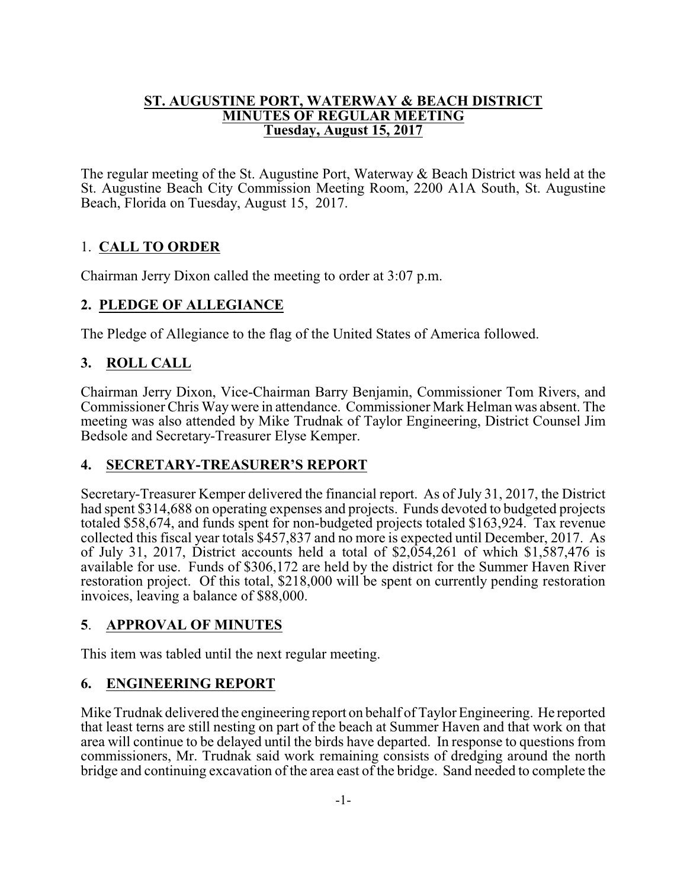#### **ST. AUGUSTINE PORT, WATERWAY & BEACH DISTRICT MINUTES OF REGULAR MEETING Tuesday, August 15, 2017**

The regular meeting of the St. Augustine Port, Waterway & Beach District was held at the St. Augustine Beach City Commission Meeting Room, 2200 A1A South, St. Augustine Beach, Florida on Tuesday, August 15, 2017.

# 1. **CALL TO ORDER**

Chairman Jerry Dixon called the meeting to order at 3:07 p.m.

# **2. PLEDGE OF ALLEGIANCE**

The Pledge of Allegiance to the flag of the United States of America followed.

# **3. ROLL CALL**

Chairman Jerry Dixon, Vice-Chairman Barry Benjamin, Commissioner Tom Rivers, and Commissioner Chris Waywere in attendance. Commissioner Mark Helman was absent. The meeting was also attended by Mike Trudnak of Taylor Engineering, District Counsel Jim Bedsole and Secretary-Treasurer Elyse Kemper.

# **4. SECRETARY-TREASURER'S REPORT**

Secretary-Treasurer Kemper delivered the financial report. As of July 31, 2017, the District had spent \$314,688 on operating expenses and projects. Funds devoted to budgeted projects totaled \$58,674, and funds spent for non-budgeted projects totaled \$163,924. Tax revenue collected this fiscal year totals \$457,837 and no more is expected until December, 2017. As of July 31, 2017, District accounts held a total of \$2,054,261 of which \$1,587,476 is available for use. Funds of \$306,172 are held by the district for the Summer Haven River restoration project. Of this total, \$218,000 will be spent on currently pending restoration invoices, leaving a balance of \$88,000.

# **5**. **APPROVAL OF MINUTES**

This item was tabled until the next regular meeting.

# **6. ENGINEERING REPORT**

Mike Trudnak delivered the engineering report on behalf of Taylor Engineering. He reported that least terns are still nesting on part of the beach at Summer Haven and that work on that area will continue to be delayed until the birds have departed. In response to questions from commissioners, Mr. Trudnak said work remaining consists of dredging around the north bridge and continuing excavation of the area east of the bridge. Sand needed to complete the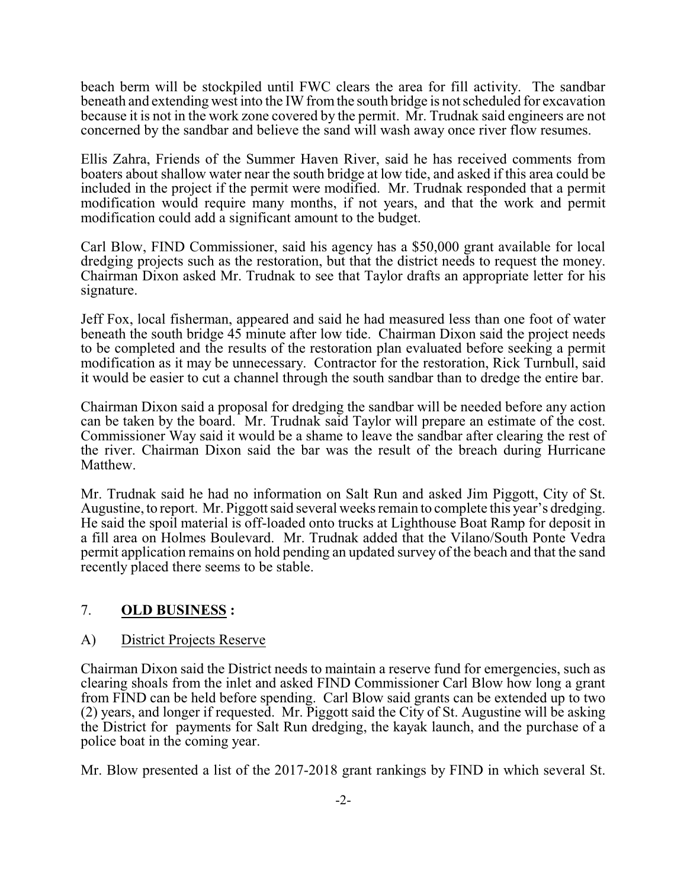beach berm will be stockpiled until FWC clears the area for fill activity. The sandbar beneath and extending west into the IW from the south bridge is not scheduled for excavation because it is not in the work zone covered by the permit. Mr. Trudnak said engineers are not concerned by the sandbar and believe the sand will wash away once river flow resumes.

Ellis Zahra, Friends of the Summer Haven River, said he has received comments from boaters about shallow water near the south bridge at low tide, and asked if this area could be included in the project if the permit were modified. Mr. Trudnak responded that a permit modification would require many months, if not years, and that the work and permit modification could add a significant amount to the budget.

Carl Blow, FIND Commissioner, said his agency has a \$50,000 grant available for local dredging projects such as the restoration, but that the district needs to request the money. Chairman Dixon asked Mr. Trudnak to see that Taylor drafts an appropriate letter for his signature.

Jeff Fox, local fisherman, appeared and said he had measured less than one foot of water beneath the south bridge 45 minute after low tide. Chairman Dixon said the project needs to be completed and the results of the restoration plan evaluated before seeking a permit modification as it may be unnecessary. Contractor for the restoration, Rick Turnbull, said it would be easier to cut a channel through the south sandbar than to dredge the entire bar.

Chairman Dixon said a proposal for dredging the sandbar will be needed before any action can be taken by the board. Mr. Trudnak said Taylor will prepare an estimate of the cost. Commissioner Way said it would be a shame to leave the sandbar after clearing the rest of the river. Chairman Dixon said the bar was the result of the breach during Hurricane Matthew.

Mr. Trudnak said he had no information on Salt Run and asked Jim Piggott, City of St. Augustine, to report. Mr. Piggott said several weeks remain to complete this year's dredging. He said the spoil material is off-loaded onto trucks at Lighthouse Boat Ramp for deposit in a fill area on Holmes Boulevard. Mr. Trudnak added that the Vilano/South Ponte Vedra permit application remains on hold pending an updated survey of the beach and that the sand recently placed there seems to be stable.

### 7. **OLD BUSINESS :**

#### A) District Projects Reserve

Chairman Dixon said the District needs to maintain a reserve fund for emergencies, such as clearing shoals from the inlet and asked FIND Commissioner Carl Blow how long a grant from FIND can be held before spending. Carl Blow said grants can be extended up to two (2) years, and longer if requested. Mr. Piggott said the City of St. Augustine will be asking the District for payments for Salt Run dredging, the kayak launch, and the purchase of a police boat in the coming year.

Mr. Blow presented a list of the 2017-2018 grant rankings by FIND in which several St.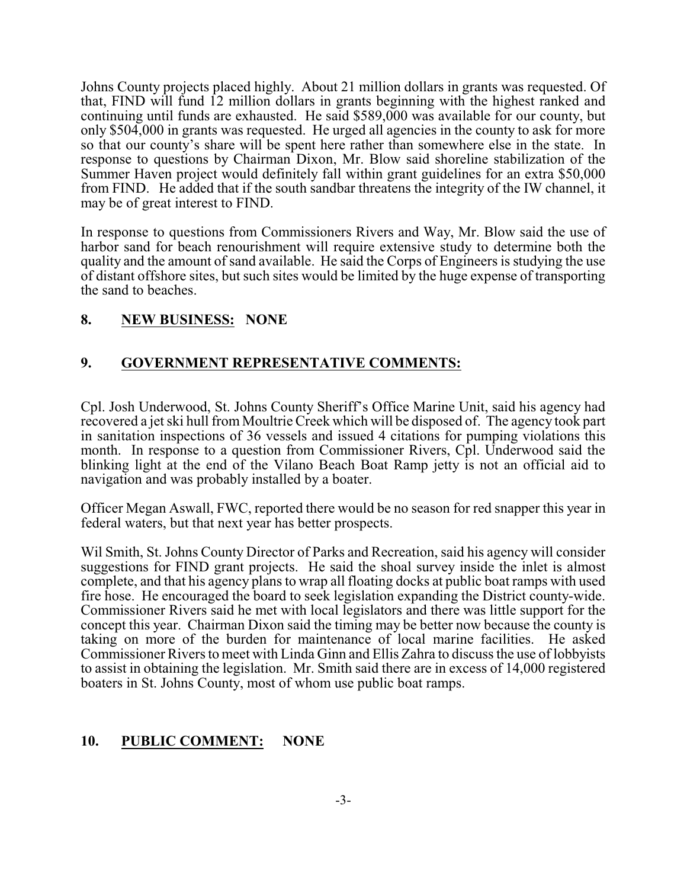Johns County projects placed highly. About 21 million dollars in grants was requested. Of that, FIND will fund 12 million dollars in grants beginning with the highest ranked and continuing until funds are exhausted. He said \$589,000 was available for our county, but only \$504,000 in grants was requested. He urged all agencies in the county to ask for more so that our county's share will be spent here rather than somewhere else in the state. In response to questions by Chairman Dixon, Mr. Blow said shoreline stabilization of the Summer Haven project would definitely fall within grant guidelines for an extra \$50,000 from FIND. He added that if the south sandbar threatens the integrity of the IW channel, it may be of great interest to FIND.

In response to questions from Commissioners Rivers and Way, Mr. Blow said the use of harbor sand for beach renourishment will require extensive study to determine both the quality and the amount of sand available. He said the Corps of Engineers is studying the use of distant offshore sites, but such sites would be limited by the huge expense of transporting the sand to beaches.

### **8. NEW BUSINESS: NONE**

## **9. GOVERNMENT REPRESENTATIVE COMMENTS:**

Cpl. Josh Underwood, St. Johns County Sheriff's Office Marine Unit, said his agency had recovered a jet ski hull from Moultrie Creek which will be disposed of. The agency took part in sanitation inspections of 36 vessels and issued 4 citations for pumping violations this month. In response to a question from Commissioner Rivers, Cpl. Underwood said the blinking light at the end of the Vilano Beach Boat Ramp jetty is not an official aid to navigation and was probably installed by a boater.

Officer Megan Aswall, FWC, reported there would be no season for red snapper this year in federal waters, but that next year has better prospects.

Wil Smith, St. Johns County Director of Parks and Recreation, said his agency will consider suggestions for FIND grant projects. He said the shoal survey inside the inlet is almost complete, and that his agency plans to wrap all floating docks at public boat ramps with used fire hose. He encouraged the board to seek legislation expanding the District county-wide. Commissioner Rivers said he met with local legislators and there was little support for the concept this year. Chairman Dixon said the timing may be better now because the county is taking on more of the burden for maintenance of local marine facilities. He asked Commissioner Rivers to meet with Linda Ginn and Ellis Zahra to discuss the use of lobbyists to assist in obtaining the legislation. Mr. Smith said there are in excess of 14,000 registered boaters in St. Johns County, most of whom use public boat ramps.

### **10. PUBLIC COMMENT: NONE**